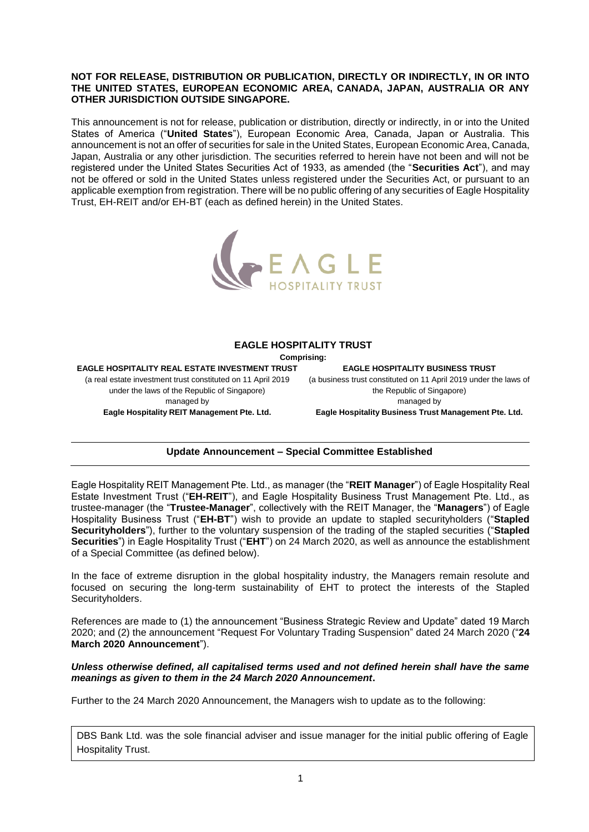### **NOT FOR RELEASE, DISTRIBUTION OR PUBLICATION, DIRECTLY OR INDIRECTLY, IN OR INTO THE UNITED STATES, EUROPEAN ECONOMIC AREA, CANADA, JAPAN, AUSTRALIA OR ANY OTHER JURISDICTION OUTSIDE SINGAPORE.**

This announcement is not for release, publication or distribution, directly or indirectly, in or into the United States of America ("**United States**"), European Economic Area, Canada, Japan or Australia. This announcement is not an offer of securities for sale in the United States, European Economic Area, Canada, Japan, Australia or any other jurisdiction. The securities referred to herein have not been and will not be registered under the United States Securities Act of 1933, as amended (the "**Securities Act**"), and may not be offered or sold in the United States unless registered under the Securities Act, or pursuant to an applicable exemption from registration. There will be no public offering of any securities of Eagle Hospitality Trust, EH-REIT and/or EH-BT (each as defined herein) in the United States.



### **EAGLE HOSPITALITY TRUST**

**Comprising:**

**EAGLE HOSPITALITY REAL ESTATE INVESTMENT TRUST** (a real estate investment trust constituted on 11 April 2019 under the laws of the Republic of Singapore) managed by **Eagle Hospitality REIT Management Pte. Ltd.**

**EAGLE HOSPITALITY BUSINESS TRUST** (a business trust constituted on 11 April 2019 under the laws of the Republic of Singapore) managed by **Eagle Hospitality Business Trust Management Pte. Ltd.**

# **Update Announcement – Special Committee Established**

Eagle Hospitality REIT Management Pte. Ltd., as manager (the "**REIT Manager**") of Eagle Hospitality Real Estate Investment Trust ("**EH-REIT**"), and Eagle Hospitality Business Trust Management Pte. Ltd., as trustee-manager (the "**Trustee-Manager**", collectively with the REIT Manager, the "**Managers**") of Eagle Hospitality Business Trust ("**EH-BT**") wish to provide an update to stapled securityholders ("**Stapled Securityholders**"), further to the voluntary suspension of the trading of the stapled securities ("**Stapled Securities**") in Eagle Hospitality Trust ("**EHT**") on 24 March 2020, as well as announce the establishment of a Special Committee (as defined below).

In the face of extreme disruption in the global hospitality industry, the Managers remain resolute and focused on securing the long-term sustainability of EHT to protect the interests of the Stapled Securityholders.

References are made to (1) the announcement "Business Strategic Review and Update" dated 19 March 2020; and (2) the announcement "Request For Voluntary Trading Suspension" dated 24 March 2020 ("**24 March 2020 Announcement**").

### *Unless otherwise defined, all capitalised terms used and not defined herein shall have the same meanings as given to them in the 24 March 2020 Announcement***.**

Further to the 24 March 2020 Announcement, the Managers wish to update as to the following:

DBS Bank Ltd. was the sole financial adviser and issue manager for the initial public offering of Eagle Hospitality Trust.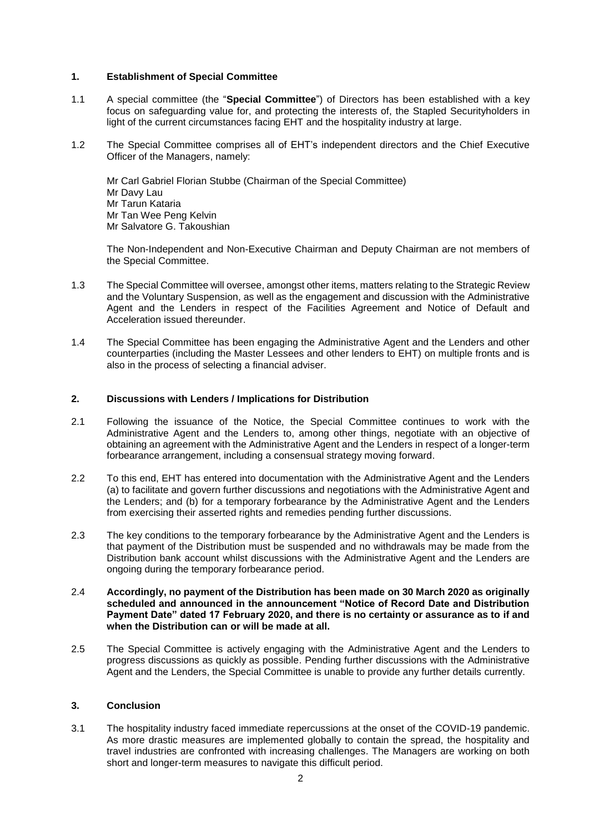### **1. Establishment of Special Committee**

- 1.1 A special committee (the "**Special Committee**") of Directors has been established with a key focus on safeguarding value for, and protecting the interests of, the Stapled Securityholders in light of the current circumstances facing EHT and the hospitality industry at large.
- 1.2 The Special Committee comprises all of EHT's independent directors and the Chief Executive Officer of the Managers, namely:

Mr Carl Gabriel Florian Stubbe (Chairman of the Special Committee) Mr Davy Lau Mr Tarun Kataria Mr Tan Wee Peng Kelvin Mr Salvatore G. Takoushian

The Non-Independent and Non-Executive Chairman and Deputy Chairman are not members of the Special Committee.

- 1.3 The Special Committee will oversee, amongst other items, matters relating to the Strategic Review and the Voluntary Suspension, as well as the engagement and discussion with the Administrative Agent and the Lenders in respect of the Facilities Agreement and Notice of Default and Acceleration issued thereunder.
- 1.4 The Special Committee has been engaging the Administrative Agent and the Lenders and other counterparties (including the Master Lessees and other lenders to EHT) on multiple fronts and is also in the process of selecting a financial adviser.

### **2. Discussions with Lenders / Implications for Distribution**

- 2.1 Following the issuance of the Notice, the Special Committee continues to work with the Administrative Agent and the Lenders to, among other things, negotiate with an objective of obtaining an agreement with the Administrative Agent and the Lenders in respect of a longer-term forbearance arrangement, including a consensual strategy moving forward.
- 2.2 To this end, EHT has entered into documentation with the Administrative Agent and the Lenders (a) to facilitate and govern further discussions and negotiations with the Administrative Agent and the Lenders; and (b) for a temporary forbearance by the Administrative Agent and the Lenders from exercising their asserted rights and remedies pending further discussions.
- 2.3 The key conditions to the temporary forbearance by the Administrative Agent and the Lenders is that payment of the Distribution must be suspended and no withdrawals may be made from the Distribution bank account whilst discussions with the Administrative Agent and the Lenders are ongoing during the temporary forbearance period.
- 2.4 **Accordingly, no payment of the Distribution has been made on 30 March 2020 as originally scheduled and announced in the announcement "Notice of Record Date and Distribution Payment Date" dated 17 February 2020, and there is no certainty or assurance as to if and when the Distribution can or will be made at all.**
- 2.5 The Special Committee is actively engaging with the Administrative Agent and the Lenders to progress discussions as quickly as possible. Pending further discussions with the Administrative Agent and the Lenders, the Special Committee is unable to provide any further details currently.

## **3. Conclusion**

3.1 The hospitality industry faced immediate repercussions at the onset of the COVID-19 pandemic. As more drastic measures are implemented globally to contain the spread, the hospitality and travel industries are confronted with increasing challenges. The Managers are working on both short and longer-term measures to navigate this difficult period.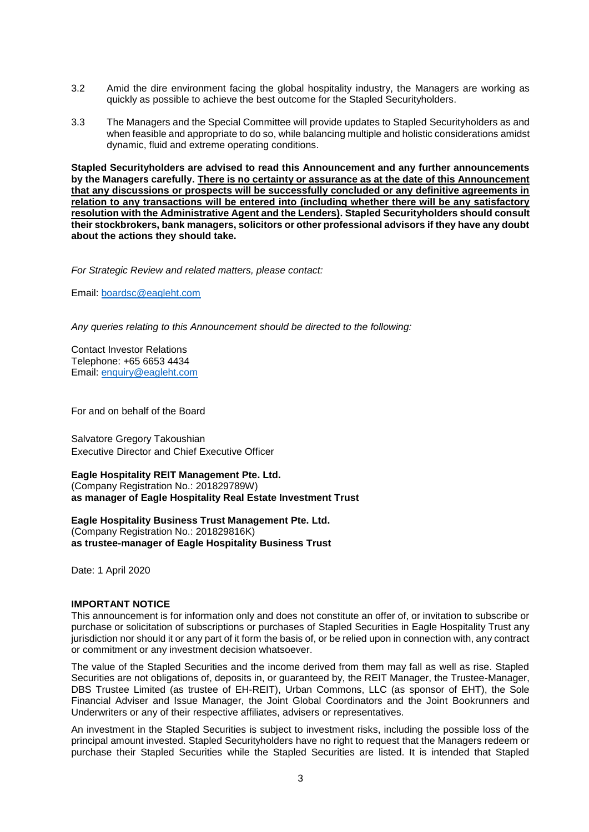- 3.2 Amid the dire environment facing the global hospitality industry, the Managers are working as quickly as possible to achieve the best outcome for the Stapled Securityholders.
- 3.3 The Managers and the Special Committee will provide updates to Stapled Securityholders as and when feasible and appropriate to do so, while balancing multiple and holistic considerations amidst dynamic, fluid and extreme operating conditions.

**Stapled Securityholders are advised to read this Announcement and any further announcements by the Managers carefully. There is no certainty or assurance as at the date of this Announcement that any discussions or prospects will be successfully concluded or any definitive agreements in relation to any transactions will be entered into (including whether there will be any satisfactory resolution with the Administrative Agent and the Lenders). Stapled Securityholders should consult their stockbrokers, bank managers, solicitors or other professional advisors if they have any doubt about the actions they should take.**

*For Strategic Review and related matters, please contact:*

Email: [boardsc@eagleht.com](mailto:boardsc@eagleht.com)

*Any queries relating to this Announcement should be directed to the following:*

Contact Investor Relations Telephone: +65 6653 4434 Email: [enquiry@eagleht.com](mailto:enquiry@eagleht.com)

For and on behalf of the Board

Salvatore Gregory Takoushian Executive Director and Chief Executive Officer

### **Eagle Hospitality REIT Management Pte. Ltd.**

(Company Registration No.: 201829789W) **as manager of Eagle Hospitality Real Estate Investment Trust**

**Eagle Hospitality Business Trust Management Pte. Ltd.** (Company Registration No.: 201829816K) **as trustee-manager of Eagle Hospitality Business Trust**

Date: 1 April 2020

#### **IMPORTANT NOTICE**

This announcement is for information only and does not constitute an offer of, or invitation to subscribe or purchase or solicitation of subscriptions or purchases of Stapled Securities in Eagle Hospitality Trust any jurisdiction nor should it or any part of it form the basis of, or be relied upon in connection with, any contract or commitment or any investment decision whatsoever.

The value of the Stapled Securities and the income derived from them may fall as well as rise. Stapled Securities are not obligations of, deposits in, or guaranteed by, the REIT Manager, the Trustee-Manager, DBS Trustee Limited (as trustee of EH-REIT), Urban Commons, LLC (as sponsor of EHT), the Sole Financial Adviser and Issue Manager, the Joint Global Coordinators and the Joint Bookrunners and Underwriters or any of their respective affiliates, advisers or representatives.

An investment in the Stapled Securities is subject to investment risks, including the possible loss of the principal amount invested. Stapled Securityholders have no right to request that the Managers redeem or purchase their Stapled Securities while the Stapled Securities are listed. It is intended that Stapled